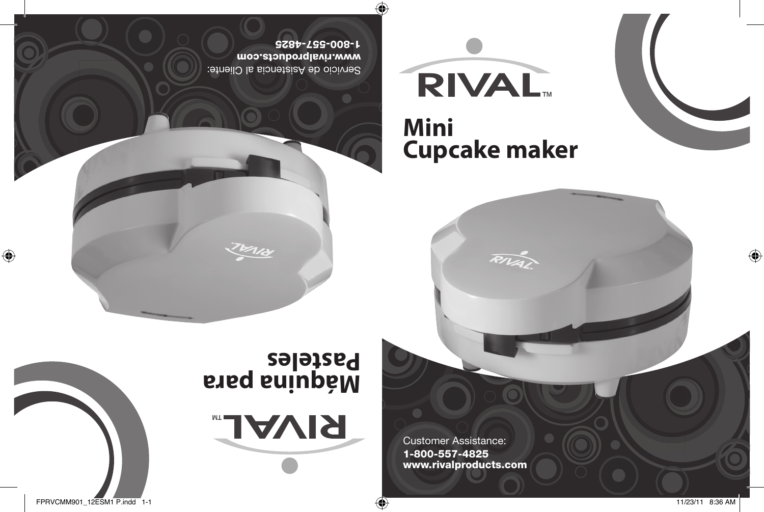Servicio de Asistencia al Cliente: www.rivalproducts.com 1-800-557-4825

Œ

# **Mini Cupcake maker**

RIVA

**RIVAL** 

Customer Assistance: 1-800-557-4825 www.rivalproducts.com

**Máquina para Pasteles**

**RIVAL** 

FPRVCMM901\_12ESM1 P.indd 1-1 11/23/11 8:36 AM

 $\bigoplus$ 

 $\bigoplus$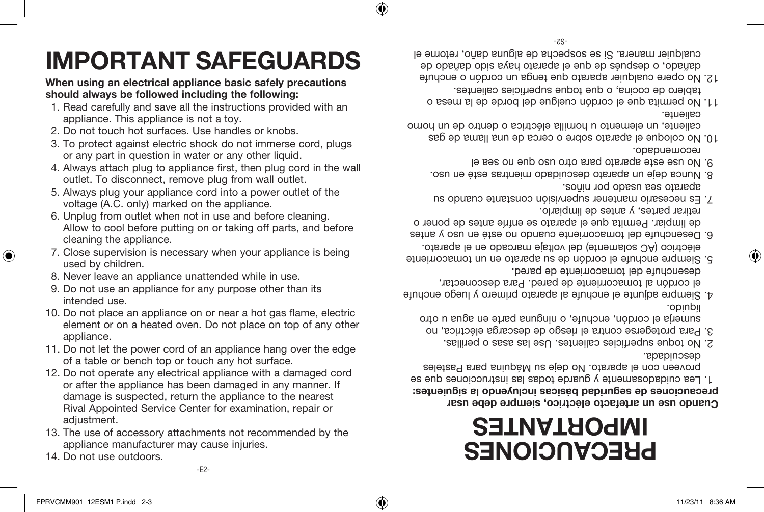## 14. Do not use outdoors.

- 13. The use of accessory attachments not recommended by the appliance manufacturer may cause injuries.
- 12. Do not operate any electrical appliance with a damaged cord or after the appliance has been damaged in any manner. If damage is suspected, return the appliance to the nearest Rival Appointed Service Center for examination, repair or adiustment.
- 11. Do not let the power cord of an appliance hang over the edge of a table or bench top or touch any hot surface.
- element or on a heated oven. Do not place on top of any other appliance.
- 
- 10. Do not place an appliance on or near a hot gas flame, electric
- 9. Do not use an appliance for any purpose other than its intended use.
- used by children. 8. Never leave an appliance unattended while in use.
- cleaning the appliance. 7. Close supervision is necessary when your appliance is being
- voltage (A.C. only) marked on the appliance. 6. Unplug from outlet when not in use and before cleaning. Allow to cool before putting on or taking off parts, and before
- outlet. To disconnect, remove plug from wall outlet. 5. Always plug your appliance cord into a power outlet of the
- 4. Always attach plug to appliance first, then plug cord in the wall
- 3. To protect against electric shock do not immerse cord, plugs or any part in question in water or any other liquid.
- 2. Do not touch hot surfaces. Use handles or knobs.
- 1. Read carefully and save all the instructions provided with an appliance. This appliance is not a toy.
- **When using an electrical appliance basic safely precautions should always be followed including the following:**

**IMPORTANT SAFEGUARDS**

# **PRECAUCIONES IMPORTANTES**

# Cuando use un artefacto eléctrico, siempre debe usar **sicas incluyendo la siguientes: á precauciones de seguridad b**

- Lea cuidadosamente y guarde todas las instrucciones que se proveen con el aparato. No deje su Máquina para Pasteles descuidada.
- No toque superficies calientes. Use las asas o perillas. 2.
- Para protegerse contra el riesgo de descarga eléctrica, no 3. simum el cordon, enchute, o ninguna parte en agua u otro líquido.
- Siempre adjunte el enchufe al aparato primero y luego enchufe 4. el cordón al tomacorriente de pared. Para desconectar, desenchufe del tomacorriente de pared.
- Siempre enchute el cordón de su aparato en un tomacorriente eléctrico (AC solamente) del voltaje marcado en el aparato.
- Desenchufe del tomacorriente cuando no esté en uso y antes 6. de limpiar. Permita que el aparato se enfríe antes de poner o retirar partes, y antes de limpiarlo.
- Es necesario mantener supervisión constante cuando su 7. aparato sea usado por niños.
- Nunca deje un aparato descuidado mientras esté en uso. 8. No use este aparato para otro uso que no sea el 9.
- recomendado. No coloque el aparato sobre o cerca de una llama de gas 10.
- caliente, un elemento u hornilla eléctrica o dentro de un horno caliente.
- No permita que el cordón cuelgue del borde de la mesa o 11. tablero de cocina, o que toque superficies calientes.
- No opere cualquier aparato que tenga un cordón o enchufe 12. dañado, o después de que el aparato haya sido dañado de cualquier manera. Si se sospecha de alguna daño, retorne el

⊕

⊕

♠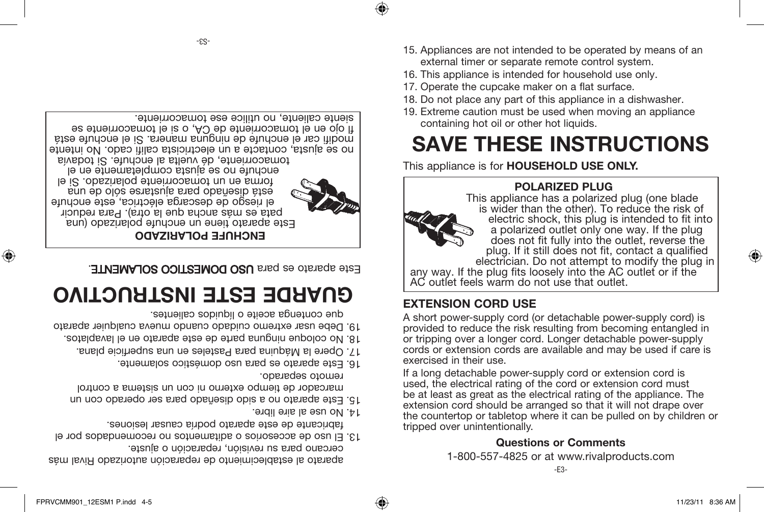⊕

el riesgo de descarga eléctrica, este enchufe está diseñado para ajustarse sólo de una forma en un tomacorriente polarizado. Si el enchufe no se alusta completamente en el tomacorriente, dé vuelta al enchufe. Si todavía no se ajusta, contacte a un electricista califi cado. No intente modifi car el enchufe de ninguna manera. Si el enchufe está fl ojo en el tomacorriente de CA, o si el tomacorriente se siente caliente, no utilice ese tomacorriente.

**ENCHUFE POLARIZADO**

Este aparato tiene un enchufe polarizado (una pata es más ancha que la otra). Para reducir

Este aparato es para USO DOMESTICO SOLAMENTE.

# **GUARDE ESTE INSTRUCTIVO**

aparato al establecimiento de reparación autorizado Rival más

El uso de accesorios o aditamentos no recomendados por el 13. fabricante de este aparato podría causar lesiones.

Este aparato no a sido diseñado para ser operado con un 15. marcador de tiempo externo ni con un sistema a control

Opere la Máquina para Pasteles en una superficie plana. 17. No coloque ninguna parte de este aparato en el lavaplatos. 18.

que contenga aceite o líquidos calientes.

Este aparato es para uso doméstico solamente. 16.

cercano para su revisión, reparación o ajuste.

Debe usar extremo cuidado cuando mueva cualquier aparato 19.

any way. If the plug fits loosely into the AC outlet or if the AC outlet feels warm do not use that outlet.

♠

 $1 + 10$  no nee si sine libre.

remoto separado.

## 15. Appliances are not intended to be operated by means of an external timer or separate remote control system.

**POLARIZED PLUG**

**SAVE THESE INSTRUCTIONS**

is wider than the other). To reduce the risk of electric shock, this plug is intended to fit into a polarized outlet only one way. If the plug does not fit fully into the outlet, reverse the plug. If it still does not fit, contact a qualified electrician. Do not attempt to modify the plug in

- 16. This appliance is intended for household use only.
- 17. Operate the cupcake maker on a flat surface.

This appliance is for **HOUSEHOLD USE ONLY.**

containing hot oil or other hot liquids.

- 18. Do not place any part of this appliance in a dishwasher. 19. Extreme caution must be used when moving an appliance
- 
- 
- 
- 
- 
- 
- 
- 
- 
- 

# **EXTENSION CORD USE**

A short power-supply cord (or detachable power-supply cord) is provided to reduce the risk resulting from becoming entangled in or tripping over a longer cord. Longer detachable power-supply cords or extension cords are available and may be used if care is exercised in their use.

If a long detachable power-supply cord or extension cord is used, the electrical rating of the cord or extension cord must be at least as great as the electrical rating of the appliance. The extension cord should be arranged so that it will not drape over the countertop or tabletop where it can be pulled on by children or tripped over unintentionally.

# **Questions or Comments**

1-800-557-4825 or at www.rivalproducts.com



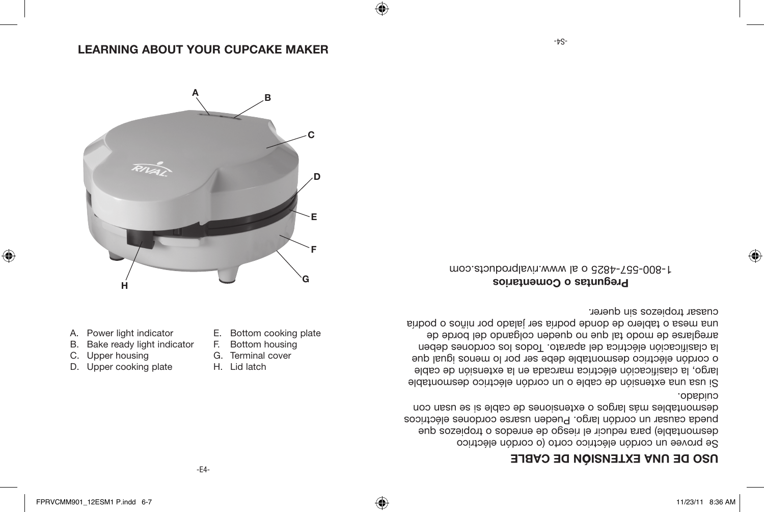$\bigoplus$ 

A. Power light indicator B. Bake ready light indicator

C. Upper housing D. Upper cooking plate

⊕

E. Bottom cooking plate F. Bottom housing G. Terminal cover H. Lid latch

⊕

### **N DE ONTEXALE O DE CYBLE**

Se provee un cordón eléctrico corto (o cordón eléctrico desmontable) para reducir el riesgo de enredos o tropiezos que pueda causar un cordón largo. Pueden usarse cordones eléctricos desmontables más la roba es usa para es usa se usan con cuidado<sup>.</sup>

Si usa una extensión de cable o un cordón eléctrico desmontable largo, la clasificación eléctrica marcada en la extensión de cable o cordón eléctrico desmontable debe ser por lo menos igual que la clasificación eléctrica del aparato. Todos los cordones deben arreglarse de modo tal que no queden colgando del borde de una mesa o tablero de donde podría ser jalado por niños o podría cuasar tropiezos sin querer.

**Preguntas o Comentarios** 1-800-557-4825 o al www.rivalproducts.com



### **LEARNING ABOUT YOUR CUPCAKE MAKER**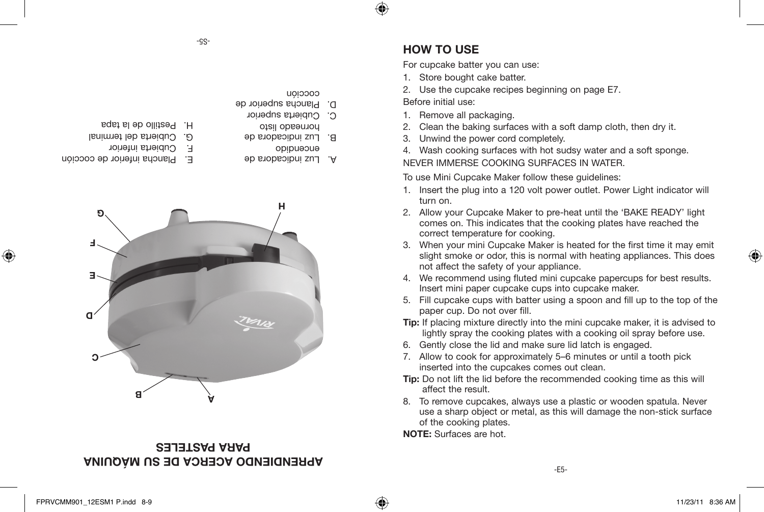#### $-SS-$

- coccion
- D. Plancha superior de
	- C. Cubierta superior
		- horneado listo
	- encendido B. Luz indicadora de
	- A. Luz indicadora de
- Pestillo de la tapa H.
- G. Cubierta del terminal
- F. Cubierta inferior
- Plancha inferior de cocción E.

⊕

**A B**

### **APRENDIENDO ACERCA DE SU MAQUINA PARA PASTELES**

### **HOW TO USE**

⊕

For cupcake batter you can use:

- 1. Store bought cake batter.
- 2. Use the cupcake recipes beginning on page E7.

Before initial use:

- 1. Remove all packaging.
- 2. Clean the baking surfaces with a soft damp cloth, then dry it.
- 3. Unwind the power cord completely.
- 4. Wash cooking surfaces with hot sudsy water and a soft sponge.

#### NEVER IMMERSE COOKING SURFACES IN WATER.

To use Mini Cupcake Maker follow these guidelines:

- 1. Insert the plug into a 120 volt power outlet. Power Light indicator will turn on.
- 2. Allow your Cupcake Maker to pre-heat until the 'BAKE READY' light comes on. This indicates that the cooking plates have reached the correct temperature for cooking.
- 3. When your mini Cupcake Maker is heated for the first time it may emit slight smoke or odor, this is normal with heating appliances. This does not affect the safety of your appliance.
- 4. We recommend using fluted mini cupcake papercups for best results. Insert mini paper cupcake cups into cupcake maker.
- 5. Fill cupcake cups with batter using a spoon and fill up to the top of the paper cup. Do not over fill.
- **Tip:** If placing mixture directly into the mini cupcake maker, it is advised to lightly spray the cooking plates with a cooking oil spray before use.
- 6. Gently close the lid and make sure lid latch is engaged.
- 7. Allow to cook for approximately 5–6 minutes or until a tooth pick inserted into the cupcakes comes out clean.
- **Tip:** Do not lift the lid before the recommended cooking time as this will affect the result.
- 8. To remove cupcakes, always use a plastic or wooden spatula. Never use a sharp object or metal, as this will damage the non-stick surface of the cooking plates.

**NOTE:** Surfaces are hot.

⊕



**<sup>G</sup> <sup>H</sup>**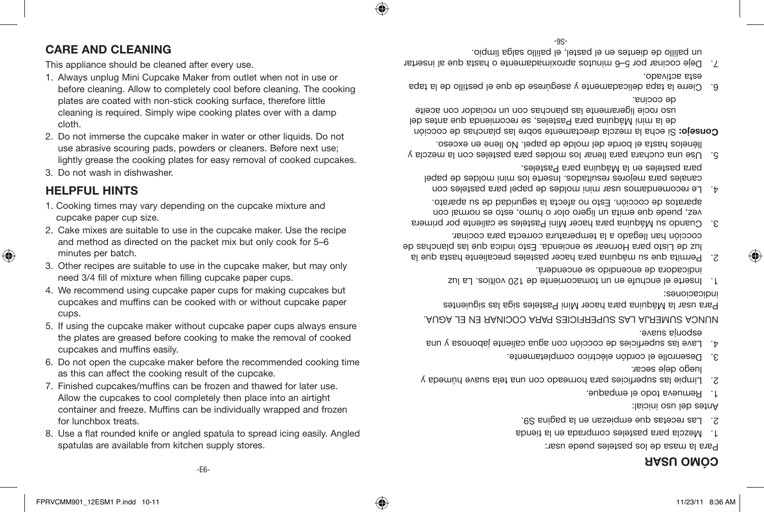### **MO USAR ÓC**

Para la masa de los pasteles puede usar:

- Mezcla para pasteles comprada en la tienda 1.
- Las recetas que empiezan en la pagina S9. 2.

Antes del uso inicial:

- Remueva todo el empaque. 1.
- Limpie las superficies para horneado con una tela suave húmeda y 2. luego deje secar.
- Desenrolle el cordón eléctrico completamente. 3.
- Lave las superficies de cocción con agua caliente jabonosa y una 4. esponja suave.

NUNCA SUMERJA LAS SUPERFICIES PARA COCINAR EN EL AGUA.

Para usar la Máquina para hacer Mini Pasteles siga las siguientes indicaciones:

- Inserte el enchufe en un tomacorriente de 120 voltios. La luz 1. indicadora de encendido se encenderá.
- Permita que su máquina para hacer pasteles precaliente hasta que la 2. luz de Listo para Hornear se encienda. Esto indica que las planchas de cocción han llegado a la temperatura correcta para cocinar.
- Cuando su Máquina para hacer Mini Pasteles se caliente por primera 3. vez, puede que emita un ligero olor o humo, esto es normal con aparatos de cocción. Esto no afecta la seguridad de su aparato.
- Le recomendamos usar mini moldes de papel para pasteles con 4. canales para mejores resultados. Inserte los mini moldes de papel para pasteles en la Máquina para Pasteles.
- Use una cuchara para llenar los moldes para pasteles con la mezcla y 5. llénelos hasta el borde del molde de papel. No llene en exceso.
- Si echa la mezcla directamente sobre las planchas de cocción **Consejo:** de la mini Máquina para Pasteles, se recomienda que antes del uso rocíe ligeramente las planchas con un rociador con aceite de cocina.
- Cierre la tapa delicadamente y asegúrese de que el pestillo de la tapa 6. esta activado.
- -9S- $\Lambda$ . Deje cocinar por 5–6 minutos aproximadamente o hasta que al insertar un palillo de dientes en el pastel, el palillo salga limpio.

♠

### **CARE AND CLEANING**

This appliance should be cleaned after every use.

- 1. Always unplug Mini Cupcake Maker from outlet when not in use or before cleaning. Allow to completely cool before cleaning. The cooking plates are coated with non-stick cooking surface, therefore little cleaning is required. Simply wipe cooking plates over with a damp cloth.
- 2. Do not immerse the cupcake maker in water or other liquids. Do not use abrasive scouring pads, powders or cleaners. Before next use;
- 
- lightly grease the cooking plates for easy removal of cooked cupcakes.
- 
- 3. Do not wash in dishwasher.

## **HELPFUL HINTS**

- 1. Cooking times may vary depending on the cupcake mixture and cupcake paper cup size.
- 2. Cake mixes are suitable to use in the cupcake maker. Use the recipe and method as directed on the packet mix but only cook for 5–6
- minutes per batch.
- 
- 3. Other recipes are suitable to use in the cupcake maker, but may only need 3/4 fill of mixture when filling cupcake paper cups.
- 4. We recommend using cupcake paper cups for making cupcakes but cupcakes and muffins can be cooked with or without cupcake paper
- - cups.
- 5. If using the cupcake maker without cupcake paper cups always ensure the plates are greased before cooking to make the removal of cooked cupcakes and muffins easily.
- 6. Do not open the cupcake maker before the recommended cooking time as this can affect the cooking result of the cupcake.
- 7. Finished cupcakes/muffins can be frozen and thawed for later use. Allow the cupcakes to cool completely then place into an airtight container and freeze. Muffins can be individually wrapped and frozen for lunchbox treats.
- 8. Use a flat rounded knife or angled spatula to spread icing easily. Angled spatulas are available from kitchen supply stores.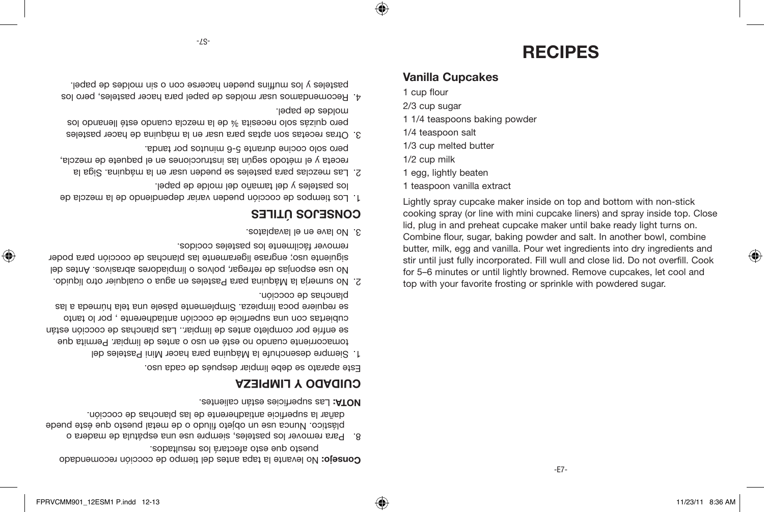♠

No levante la tapa antes del tiempo de cocción recomendado **Consejo:** puesto que esto afectará los resultados.

Para remover los pasteles, siempre use una espátula de madera o 8. plástico. Nunca use un objeto filudo o de metal puesto que éste puede dañar la superficie antiadherente de las planchas de cocción.

Las superficies están calientes. **NOTA:**

### **CUIDADO Y LIMPIEZA**

Este aparato se debe limpiar después de cada uso.

- Siempre desenchufe la Máquina para hacer Mini Pasteles del 1. tomacorriente cuando no esté en uso o antes de limpiar. Permita que se enfríe por completo antes de limpiar.. Las planchas de cocción están cubiertas con una superficie de cocción antiadherente , por lo tanto se requiere poca limpieza. Simplemente pásele una tela húmeda a las planchas de cocción.
- No sumerja la Máquina para Pasteles en agua o cualquier otro líquido. 2. No use esponjas de refregar, polvos o limpiadores abrasivos. Antes del siguiente uso; engrase ligeramente las planchas de cocción para poder remover fácilmente los pasteles cocidos.
- No lave en el lavaplatos. 3.

## **TILES Ú CONSEJOS**

- Los tiempos de cocción pueden variar dependiendo de la mezcla de 1. los pasteles y del tamaño del molde de papel.
- Las mezclas para pasteles se pueden usar en la máquina. Siga la 2. receta y el metodo segun las instrucciones en el paquete de mezcla, pero solo cocine durante 5-6 minutos por tanda.
- Otras recetas son aptas para usar en la máquina de hacer pasteles 3. pero dnizás solo necesita ¾ de la mezcla cuando esté llengua los moldes de papel.
- Recomendamos usar moldes de papel para hacer pasteles, pero los 4. pasteles y los mutfins pueden hacerse con o sin pueden a papel.

Lightly spray cupcake maker inside on top and bottom with non-stick cooking spray (or line with mini cupcake liners) and spray inside top. Close lid, plug in and preheat cupcake maker until bake ready light turns on. Combine flour, sugar, baking powder and salt. In another bowl, combine butter, milk, egg and vanilla. Pour wet ingredients into dry ingredients and stir until just fully incorporated. Fill wull and close lid. Do not overfill. Cook for 5–6 minutes or until lightly browned. Remove cupcakes, let cool and top with your favorite frosting or sprinkle with powdered sugar.

- 1 teaspoon vanilla extract
- 1 egg, lightly beaten
- 1/2 cup milk
- 1/3 cup melted butter
- 1/4 teaspoon salt
- 
- 1 1/4 teaspoons baking powder
- 2/3 cup sugar
- 
- 1 cup flour
- 
- 

⊕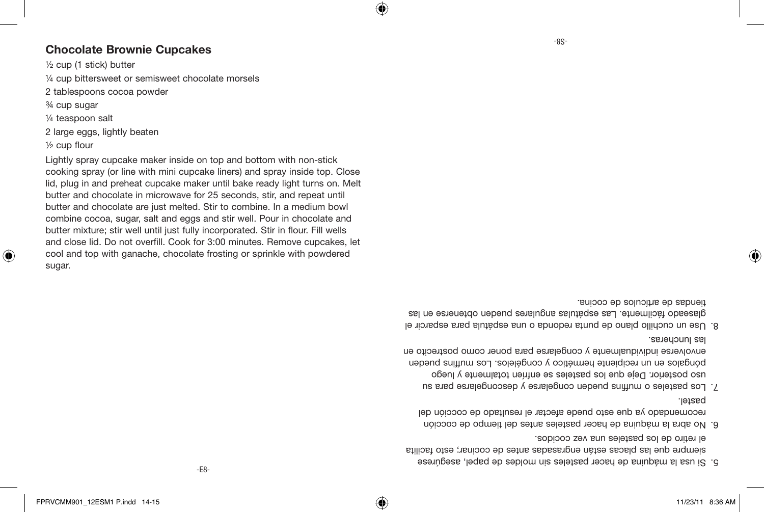♠

- Si usa la maquina de nacer pasteles sin moldes de papel, asegurese siempre que las placas están engrasadas antes de cocinar; esto facilita el retiro de los pasteles una vez cocidos.
- No abra la máquina de hacer pasteles antes del tiempo de cocción 6. recomendado ya que esto puede afectar el resultado de cocción del pastel.
- L. Los pasteles o mutfins pueden congelarse y descongelarse para su uso posterior. Deje que los pasteles se enfríen totalmente y luego póngalos en un recipiente hermético y congélelos. Los muffins pueden envolverse individualmente y congelarse para poner como postrecito en las luncheras.
- Use un cuchillo plano de punta redonda o una espátula para esparcir el 8. glaseado fácilmente. Las espátulas angulares pueden obtenerse en las tiendas de artículos de cocina.

Lightly spray cupcake maker inside on top and bottom with non-stick cooking spray (or line with mini cupcake liners) and spray inside top. Close lid, plug in and preheat cupcake maker until bake ready light turns on. Melt butter and chocolate in microwave for 25 seconds, stir, and repeat until butter and chocolate are just melted. Stir to combine. In a medium bowl combine cocoa, sugar, salt and eggs and stir well. Pour in chocolate and butter mixture; stir well until just fully incorporated. Stir in flour. Fill wells and close lid. Do not overfill. Cook for 3:00 minutes. Remove cupcakes, let cool and top with ganache, chocolate frosting or sprinkle with powdered sugar.

- ½ cup flour
- 2 large eggs, lightly beaten
- ¼ teaspoon salt
- ¾ cup sugar
- 2 tablespoons cocoa powder
- ¼ cup bittersweet or semisweet chocolate morsels
- 
- 
- 
- ½ cup (1 stick) butter
- **Chocolate Brownie Cupcakes**

⊕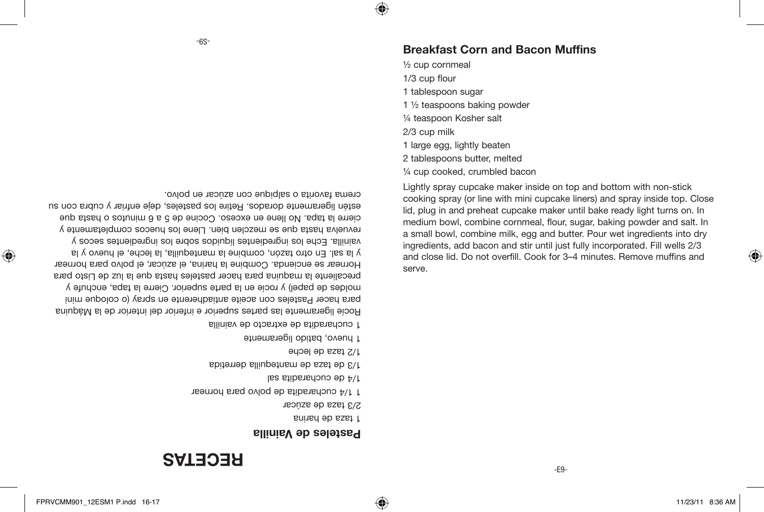♠

⊕

# **RECETAS**

#### **Pasteles de Vainilla**

1 taza de harina

2/3 taza de azúcar

1 1/4 cucharadita de polvo para hornear

1/4 de cucharadita sal

1/3 de taza de mantequilla derretida

1/2 taza de leche

1 huevo, batido ligeramente

1 cucharadita de extracto de vainilla

Rocíe ligeramente las partes superior e inferior del interior de la Máquina para hacer Pasteles con aceite antiadherente en spray (o coloque mini moldes de papel) y rocíe en la parte superior. Cierre la tapa, enchufe y precaliente la maquina para hacer pasteles hasta que la luz de Listo para Hornear se encienda. Combine la harina, el azúcar, el polvo para hornear y la sal. En otro tazón, combine la mantequilla, la leche, el huevo y la vainilla. Eche los ingredientes líquidos sobre los ingredientes secos y revuelva hasta que se mezclen bien. Llene los huecos completamente y cierre la tapa. No llene en exceso. Cocine de 5 a 6 minutos o hasta que estén ligeramente dorados. Retire los pasteles, deje enfriar y cubra con su crema favorita o salpique con azúcar en polvo.

Lightly spray cupcake maker inside on top and bottom with non-stick cooking spray (or line with mini cupcake liners) and spray inside top. Close lid, plug in and preheat cupcake maker until bake ready light turns on. In medium bowl, combine cornmeal, flour, sugar, baking powder and salt. In a small bowl, combine milk, egg and butter. Pour wet ingredients into dry ingredients, add bacon and stir until just fully incorporated. Fill wells 2/3 and close lid. Do not overfill. Cook for 3–4 minutes. Remove muffins and serve.

- ¼ cup cooked, crumbled bacon
- 2 tablespoons butter, melted
- 1 large egg, lightly beaten
- 2/3 cup milk
- ¼ teaspoon Kosher salt
- 1 ½ teaspoons baking powder
- 1 tablespoon sugar
- 1/3 cup flour
- ½ cup cornmeal

### **Breakfast Corn and Bacon Muffins**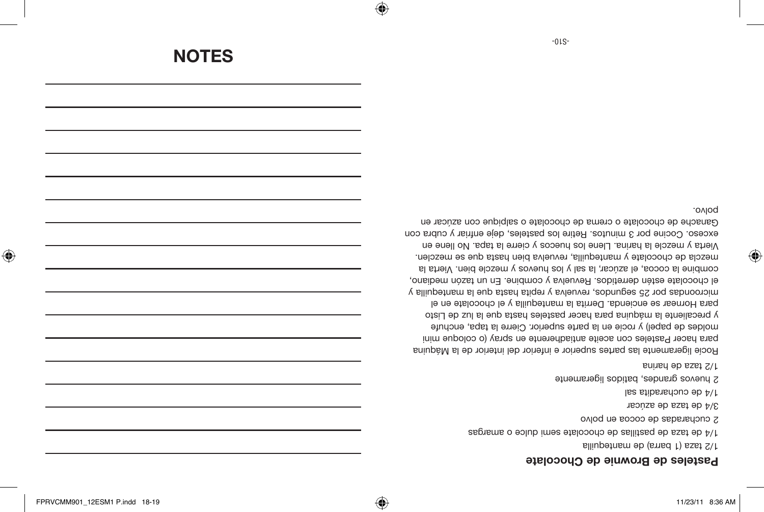$\bigoplus$ 

#### **Pasteles de Brownie de Chocolate**

2 huevos grandes, batidos ligeramente

1/2 taza de harina

⊕

1/2 taza (1 barra) de mantequilla 1/4 de taza de pastillas de chocolate semi dulce o amargas 2 cucharadas de cocoa en polvo 3/4 de taza de azúcar 1/4 de cucharadita sal

Rocíe ligeramente las partes superior e inferior del interior de la Máquina para hacer Pasteles con aceite antiadherente en spray (o coloque mini moldes de papel) y rocíe en la parte superior. Cierre la tapa, enchufe y precaliente la máquina para hacer pasteles hasta que la luz de Listo para Hornear se encienda. Derrita la mantequilla y el chocolate en el microondas por 25 segundos, revuelva y repita hasta que la mantequilla y el chocolate estén derretidos. Revuelva y combine. En un tazón mediano, combine la cocoa, el azúcar, la sal y los huevos y mezcle bien. Vierta la mezcla de chocolate y mantequilla, revuelva bien hasta que se mezclen. Vierta y mezcle la harina. Llene los huecos y cierre la tapa. No llene en exceso. Cocine por 3 minutos. Retire los pasteles, deje enfriar y cubra con Ganache de chocolate o crema de chocolate o salpique con azúcar en polvo.

**NOTES**

 $-01S-$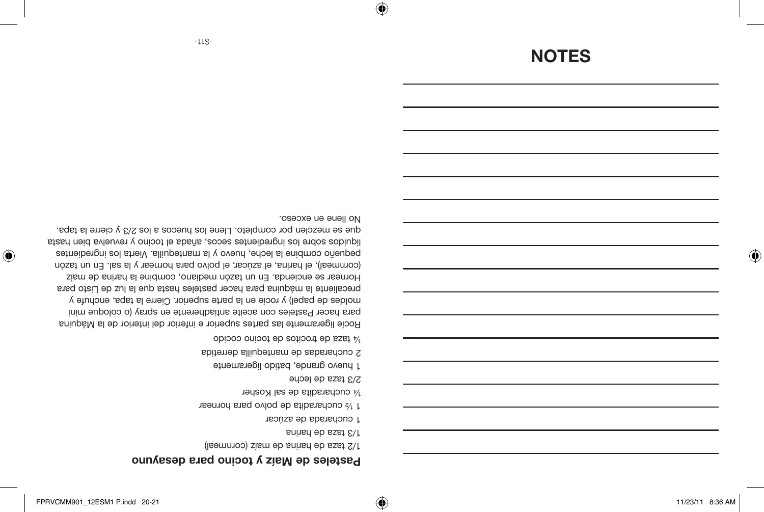⊕

⊕

### *basteles de Mais y tocino para desayuno*

- 1/2 taza de harina de maíz (cornmeal)
- 1/3 taza de harina
- 1 cucharada de azúcar
- 1 % cucharadita de polvo para hornear
- ¼ cucharadita de sal Kosher
- 2/3 taza de leche

⊕

- 1 huevo grande, batido ligeramente
- 2 cucharadas de mantequilla derretida
- ¼ taza de trocitos de tocino cocido

Rocíe ligeramente las partes superior e inferior del interior de la Máquina para hacer Pasteles con aceite antiadherente en spray (o coloque mini moldes de papel) y rocíe en la parte superior. Cierre la tapa, enchufe y precaliente la máquina para hacer pasteles hasta que la luz de Listo para Hornear se encienda. En un tazón mediano, combine la harina de maíz (cornmeal), el harina, el azúcar, el polvo para hornear y la sal. En un tazón pequeño combine la leche, huevo y la mantequilla. Vierta los ingredientes líquidos sobre los ingredientes secos, añada el tocino y revuelva bien hasta que se mezclen por completo. Llene los huecos a los 2/3 y cierre la tapa. No llene en exceso.

# **NOTES**